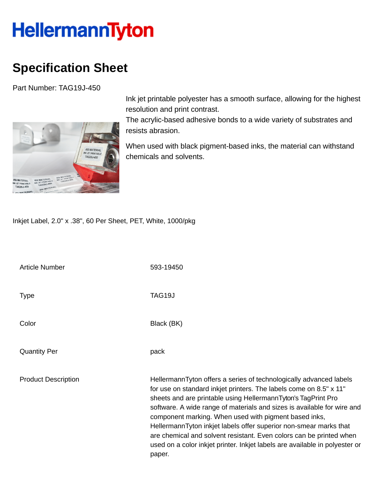## **HellermannTyton**

## **Specification Sheet**

Part Number: TAG19J-450



Ink jet printable polyester has a smooth surface, allowing for the highest resolution and print contrast.

The acrylic-based adhesive bonds to a wide variety of substrates and resists abrasion.

When used with black pigment-based inks, the material can withstand chemicals and solvents.

Inkjet Label, 2.0" x .38", 60 Per Sheet, PET, White, 1000/pkg

| <b>Article Number</b>      | 593-19450                                                                                                                                                                                                                                                                                                                                                                                                                                                                                                                                                                          |
|----------------------------|------------------------------------------------------------------------------------------------------------------------------------------------------------------------------------------------------------------------------------------------------------------------------------------------------------------------------------------------------------------------------------------------------------------------------------------------------------------------------------------------------------------------------------------------------------------------------------|
| <b>Type</b>                | TAG19J                                                                                                                                                                                                                                                                                                                                                                                                                                                                                                                                                                             |
| Color                      | Black (BK)                                                                                                                                                                                                                                                                                                                                                                                                                                                                                                                                                                         |
| <b>Quantity Per</b>        | pack                                                                                                                                                                                                                                                                                                                                                                                                                                                                                                                                                                               |
| <b>Product Description</b> | HellermannTyton offers a series of technologically advanced labels<br>for use on standard inkjet printers. The labels come on 8.5" x 11"<br>sheets and are printable using HellermannTyton's TagPrint Pro<br>software. A wide range of materials and sizes is available for wire and<br>component marking. When used with pigment based inks,<br>HellermannTyton inkjet labels offer superior non-smear marks that<br>are chemical and solvent resistant. Even colors can be printed when<br>used on a color inkjet printer. Inkjet labels are available in polyester or<br>paper. |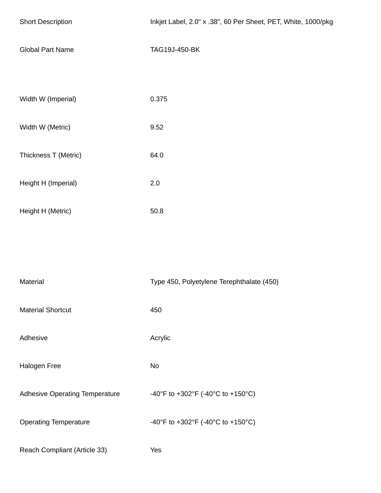| <b>Short Description</b>              | Inkjet Label, 2.0" x .38", 60 Per Sheet, PET, White, 1000/pkg |
|---------------------------------------|---------------------------------------------------------------|
| <b>Global Part Name</b>               | TAG19J-450-BK                                                 |
| Width W (Imperial)                    | 0.375                                                         |
| Width W (Metric)                      | 9.52                                                          |
| Thickness T (Metric)                  | 64.0                                                          |
| Height H (Imperial)                   | 2.0                                                           |
| Height H (Metric)                     | 50.8                                                          |
|                                       |                                                               |
| Material                              | Type 450, Polyetylene Terephthalate (450)                     |
| <b>Material Shortcut</b>              | 450                                                           |
| Adhesive                              | Acrylic                                                       |
| Halogen Free                          | <b>No</b>                                                     |
| <b>Adhesive Operating Temperature</b> | -40°F to +302°F (-40°C to +150°C)                             |
| <b>Operating Temperature</b>          | -40°F to +302°F (-40°C to +150°C)                             |
| Reach Compliant (Article 33)          | Yes                                                           |